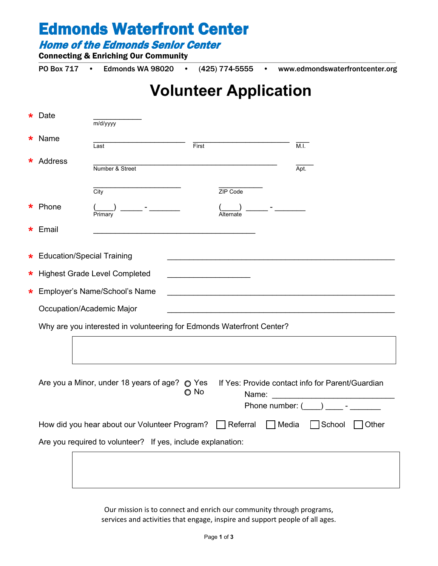Home of the Edmonds Senior Center

Connecting & Enriching Our Community

PO Box 717 • Edmonds WA 98020 • (425) 774-5555 • www.edmondswaterfrontcenter.org

### **Volunteer Application**

|        | Date                                                                  | m/d/yyyy                                                                                                                                             |       |           |       |                 |  |
|--------|-----------------------------------------------------------------------|------------------------------------------------------------------------------------------------------------------------------------------------------|-------|-----------|-------|-----------------|--|
|        | Name                                                                  | Last                                                                                                                                                 | First |           |       | M.I.            |  |
| *      | Address                                                               | Number & Street                                                                                                                                      |       |           |       | Apt.            |  |
|        |                                                                       | City                                                                                                                                                 |       | ZIP Code  |       |                 |  |
|        | Phone                                                                 | Primary                                                                                                                                              |       | Alternate |       |                 |  |
| *      | Email                                                                 |                                                                                                                                                      |       |           |       |                 |  |
| *      | <b>Education/Special Training</b>                                     |                                                                                                                                                      |       |           |       |                 |  |
| *.     |                                                                       | <b>Highest Grade Level Completed</b>                                                                                                                 |       |           |       |                 |  |
| $\ast$ | Employer's Name/School's Name                                         |                                                                                                                                                      |       |           |       |                 |  |
|        | Occupation/Academic Major                                             |                                                                                                                                                      |       |           |       |                 |  |
|        | Why are you interested in volunteering for Edmonds Waterfront Center? |                                                                                                                                                      |       |           |       |                 |  |
|        |                                                                       |                                                                                                                                                      |       |           |       |                 |  |
|        |                                                                       | Are you a Minor, under 18 years of age? O Yes<br>If Yes: Provide contact info for Parent/Guardian<br>$\bigcirc$ No<br>Name:<br>Phone number: $($ $)$ |       |           |       |                 |  |
|        |                                                                       | How did you hear about our Volunteer Program?                                                                                                        |       | Referral  | Media | School<br>Other |  |
|        | Are you required to volunteer? If yes, include explanation:           |                                                                                                                                                      |       |           |       |                 |  |
|        |                                                                       |                                                                                                                                                      |       |           |       |                 |  |
|        |                                                                       |                                                                                                                                                      |       |           |       |                 |  |

Our mission is to connect and enrich our community through programs, services and activities that engage, inspire and support people of all ages.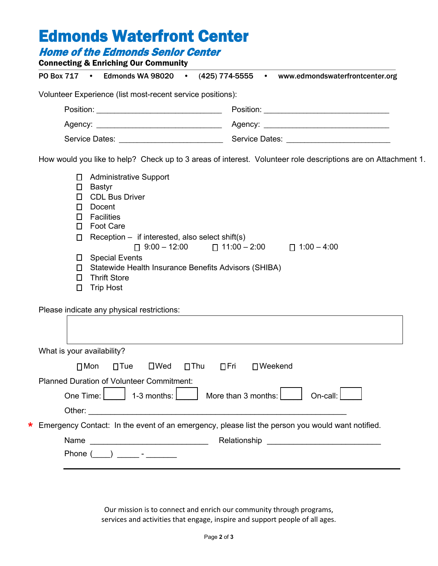|                                                                                                                                                                                                                                                                             | PO Box 717 · Edmonds WA 98020 · (425) 774-5555 · www.edmondswaterfrontcenter.org                                                                                    |
|-----------------------------------------------------------------------------------------------------------------------------------------------------------------------------------------------------------------------------------------------------------------------------|---------------------------------------------------------------------------------------------------------------------------------------------------------------------|
| Volunteer Experience (list most-recent service positions):                                                                                                                                                                                                                  |                                                                                                                                                                     |
|                                                                                                                                                                                                                                                                             |                                                                                                                                                                     |
|                                                                                                                                                                                                                                                                             |                                                                                                                                                                     |
|                                                                                                                                                                                                                                                                             |                                                                                                                                                                     |
|                                                                                                                                                                                                                                                                             | How would you like to help? Check up to 3 areas of interest. Volunteer role descriptions are on Attachment 1.                                                       |
| $\Box$<br>Bastyr<br><b>CDL Bus Driver</b><br>П.<br>Docent<br>П<br>Facilities<br>$\Box$<br><b>Foot Care</b><br>$\Box$<br>Reception $-$ if interested, also select shift(s)<br>$\Box$<br>□ Special Events<br>$\Box$<br><b>Thrift Store</b><br>$\Box$<br><b>Trip Host</b><br>□ | $\begin{bmatrix} 9:00 - 12:00 \\ \end{bmatrix}$ 11:00 - 2:00 $\begin{bmatrix} 1:00 - 4:00 \\ \end{bmatrix}$<br>Statewide Health Insurance Benefits Advisors (SHIBA) |
| Please indicate any physical restrictions:                                                                                                                                                                                                                                  |                                                                                                                                                                     |
|                                                                                                                                                                                                                                                                             |                                                                                                                                                                     |
| What is your availability?                                                                                                                                                                                                                                                  |                                                                                                                                                                     |
| $\square$ Tue<br>$\square$ Wed<br>$\Box$ Mon                                                                                                                                                                                                                                | $\square$ Thu<br>$\Box$ Fri<br>$\Box$ Weekend                                                                                                                       |
| <b>Planned Duration of Volunteer Commitment:</b>                                                                                                                                                                                                                            |                                                                                                                                                                     |
| One Time:<br>1-3 months:                                                                                                                                                                                                                                                    | More than 3 months:<br>On-call:                                                                                                                                     |

Emergency Contact: In the event of an emergency, please list the person you would want notified. **\***

Other: \_\_\_\_\_\_\_\_\_\_\_\_\_\_\_\_\_\_\_\_\_\_\_\_\_\_\_\_\_\_\_\_\_\_\_\_\_\_\_\_\_\_\_\_\_\_\_\_\_\_\_\_\_\_\_\_\_\_\_

| Name            | Relationship |
|-----------------|--------------|
| Phone<br>$\sim$ |              |

Our mission is to connect and enrich our community through programs, services and activities that engage, inspire and support people of all ages.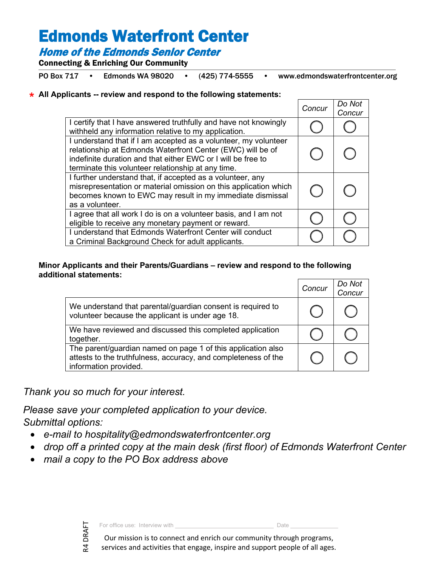### Home of the Edmonds Senior Center

Connecting & Enriching Our Community

PO Box 717 • Edmonds WA 98020 • (425) 774-5555 • www.edmondswaterfrontcenter.org

### **All Applicants -- review and respond to the following statements: \***

|                                                                                                                                                                                                                                                     | Concur | Do Not<br>Concur |
|-----------------------------------------------------------------------------------------------------------------------------------------------------------------------------------------------------------------------------------------------------|--------|------------------|
| I certify that I have answered truthfully and have not knowingly<br>withheld any information relative to my application.                                                                                                                            |        |                  |
| I understand that if I am accepted as a volunteer, my volunteer<br>relationship at Edmonds Waterfront Center (EWC) will be of<br>indefinite duration and that either EWC or I will be free to<br>terminate this volunteer relationship at any time. |        |                  |
| I further understand that, if accepted as a volunteer, any<br>misrepresentation or material omission on this application which<br>becomes known to EWC may result in my immediate dismissal<br>as a volunteer.                                      |        |                  |
| I agree that all work I do is on a volunteer basis, and I am not<br>eligible to receive any monetary payment or reward.                                                                                                                             |        |                  |
| I understand that Edmonds Waterfront Center will conduct<br>a Criminal Background Check for adult applicants.                                                                                                                                       |        |                  |

#### **Minor Applicants and their Parents/Guardians – review and respond to the following additional statements:**

|                                                                                                                                                         | Concur | Do Not<br>Concur |
|---------------------------------------------------------------------------------------------------------------------------------------------------------|--------|------------------|
| We understand that parental/guardian consent is required to<br>volunteer because the applicant is under age 18.                                         |        |                  |
| We have reviewed and discussed this completed application<br>together.                                                                                  |        |                  |
| The parent/guardian named on page 1 of this application also<br>attests to the truthfulness, accuracy, and completeness of the<br>information provided. |        |                  |

*Thank you so much for your interest.* 

*Please save your completed application to your device. Submittal options:*

- *e-mail to hospitality@edmondswaterfrontcenter.org*
- *drop off a printed copy at the main desk (first floor) of Edmonds Waterfront Center*
- *mail a copy to the PO Box address above*



For office use: Interview with \_\_\_\_\_\_\_\_\_\_\_\_\_\_\_\_\_\_\_\_\_\_\_\_\_\_\_\_\_\_\_ Date \_\_\_\_\_\_\_\_\_\_\_\_\_\_\_

Our mission is to connect and enrich our community through programs, services and activities that engage, inspire and support people of all ages.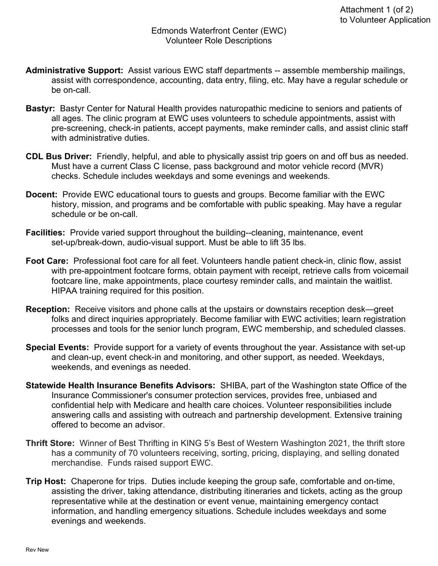- **Administrative Support:** Assist various EWC staff departments -- assemble membership mailings, assist with correspondence, accounting, data entry, filing, etc. May have a regular schedule or be on-call.
- **Bastyr:** Bastyr Center for Natural Health provides naturopathic medicine to seniors and patients of all ages. The clinic program at EWC uses volunteers to schedule appointments, assist with pre-screening, check-in patients, accept payments, make reminder calls, and assist clinic staff with administrative duties.
- **CDL Bus Driver:** Friendly, helpful, and able to physically assist trip goers on and off bus as needed. Must have a current Class C license, pass background and motor vehicle record (MVR) checks. Schedule includes weekdays and some evenings and weekends.
- **Docent:** Provide EWC educational tours to guests and groups. Become familiar with the EWC history, mission, and programs and be comfortable with public speaking. May have a regular schedule or be on-call.
- **Facilities:** Provide varied support throughout the building--cleaning, maintenance, event set-up/break-down, audio-visual support. Must be able to lift 35 lbs.
- **Foot Care:** Professional foot care for all feet. Volunteers handle patient check-in, clinic flow, assist with pre-appointment footcare forms, obtain payment with receipt, retrieve calls from voicemail footcare line, make appointments, place courtesy reminder calls, and maintain the waitlist. HIPAA training required for this position.
- **Reception:** Receive visitors and phone calls at the upstairs or downstairs reception desk—greet folks and direct inquiries appropriately. Become familiar with EWC activities; learn registration processes and tools for the senior lunch program, EWC membership, and scheduled classes.
- **Special Events:** Provide support for a variety of events throughout the year. Assistance with set-up and clean-up, event check-in and monitoring, and other support, as needed. Weekdays, weekends, and evenings as needed.
- **Statewide Health Insurance Benefits Advisors:** SHIBA, part of the Washington state Office of the Insurance Commissioner's consumer protection services, provides free, unbiased and confidential help with Medicare and health care choices. Volunteer responsibilities include answering calls and assisting with outreach and partnership development. Extensive training offered to become an advisor.
- **Thrift Store:** Winner of Best Thrifting in KING 5's Best of Western Washington 2021, the thrift store has a community of 70 volunteers receiving, sorting, pricing, displaying, and selling donated merchandise. Funds raised support EWC.
- **Trip Host:** Chaperone for trips. Duties include keeping the group safe, comfortable and on-time, assisting the driver, taking attendance, distributing itineraries and tickets, acting as the group representative while at the destination or event venue, maintaining emergency contact information, and handling emergency situations. Schedule includes weekdays and some evenings and weekends.